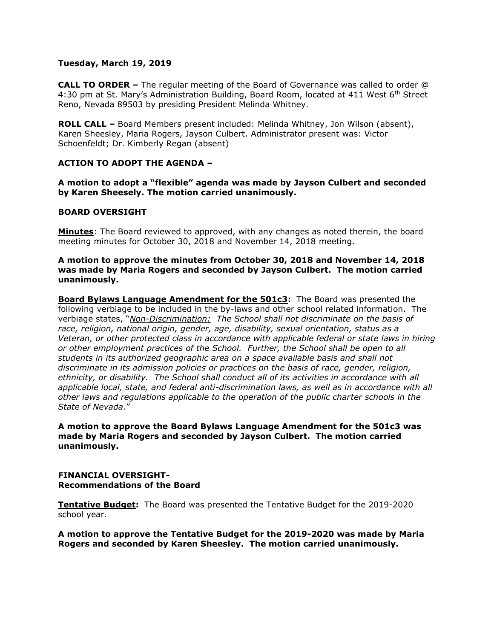## **Tuesday, March 19, 2019**

**CALL TO ORDER –** The regular meeting of the Board of Governance was called to order @ 4:30 pm at St. Mary's Administration Building, Board Room, located at 411 West 6<sup>th</sup> Street Reno, Nevada 89503 by presiding President Melinda Whitney.

**ROLL CALL –** Board Members present included: Melinda Whitney, Jon Wilson (absent), Karen Sheesley, Maria Rogers, Jayson Culbert. Administrator present was: Victor Schoenfeldt; Dr. Kimberly Regan (absent)

# **ACTION TO ADOPT THE AGENDA –**

**A motion to adopt a "flexible" agenda was made by Jayson Culbert and seconded by Karen Sheesely. The motion carried unanimously.** 

## **BOARD OVERSIGHT**

**Minutes**: The Board reviewed to approved, with any changes as noted therein, the board meeting minutes for October 30, 2018 and November 14, 2018 meeting.

## **A motion to approve the minutes from October 30, 2018 and November 14, 2018 was made by Maria Rogers and seconded by Jayson Culbert. The motion carried unanimously.**

**Board Bylaws Language Amendment for the 501c3:** The Board was presented the following verbiage to be included in the by-laws and other school related information. The verbiage states, "*Non-Discrimination: The School shall not discriminate on the basis of race, religion, national origin, gender, age, disability, sexual orientation, status as a Veteran, or other protected class in accordance with applicable federal or state laws in hiring or other employment practices of the School. Further, the School shall be open to all students in its authorized geographic area on a space available basis and shall not discriminate in its admission policies or practices on the basis of race, gender, religion, ethnicity, or disability. The School shall conduct all of its activities in accordance with all applicable local, state, and federal anti-discrimination laws, as well as in accordance with all other laws and regulations applicable to the operation of the public charter schools in the State of Nevada*."

**A motion to approve the Board Bylaws Language Amendment for the 501c3 was made by Maria Rogers and seconded by Jayson Culbert. The motion carried unanimously.**

## **FINANCIAL OVERSIGHT-Recommendations of the Board**

**Tentative Budget:** The Board was presented the Tentative Budget for the 2019-2020 school year.

**A motion to approve the Tentative Budget for the 2019-2020 was made by Maria Rogers and seconded by Karen Sheesley. The motion carried unanimously.**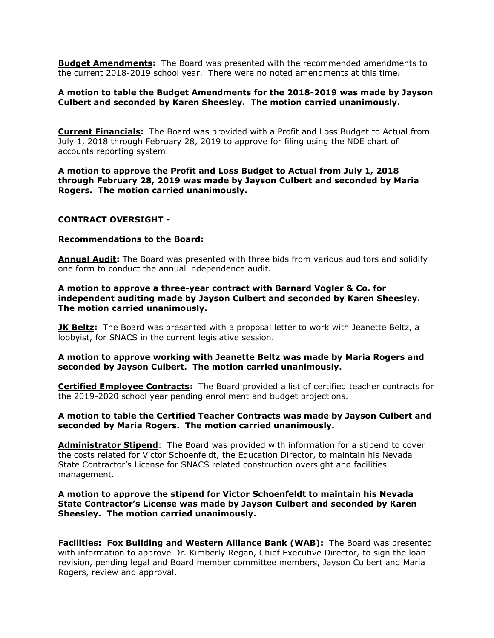**Budget Amendments:** The Board was presented with the recommended amendments to the current 2018-2019 school year. There were no noted amendments at this time.

# **A motion to table the Budget Amendments for the 2018-2019 was made by Jayson Culbert and seconded by Karen Sheesley. The motion carried unanimously.**

**Current Financials:** The Board was provided with a Profit and Loss Budget to Actual from July 1, 2018 through February 28, 2019 to approve for filing using the NDE chart of accounts reporting system.

**A motion to approve the Profit and Loss Budget to Actual from July 1, 2018 through February 28, 2019 was made by Jayson Culbert and seconded by Maria Rogers. The motion carried unanimously.** 

#### **CONTRACT OVERSIGHT -**

#### **Recommendations to the Board:**

**Annual Audit:** The Board was presented with three bids from various auditors and solidify one form to conduct the annual independence audit.

**A motion to approve a three-year contract with Barnard Vogler & Co. for independent auditing made by Jayson Culbert and seconded by Karen Sheesley. The motion carried unanimously.** 

**JK Beltz:** The Board was presented with a proposal letter to work with Jeanette Beltz, a lobbyist, for SNACS in the current legislative session.

## **A motion to approve working with Jeanette Beltz was made by Maria Rogers and seconded by Jayson Culbert. The motion carried unanimously.**

**Certified Employee Contracts:** The Board provided a list of certified teacher contracts for the 2019-2020 school year pending enrollment and budget projections.

## **A motion to table the Certified Teacher Contracts was made by Jayson Culbert and seconded by Maria Rogers. The motion carried unanimously.**

**Administrator Stipend**: The Board was provided with information for a stipend to cover the costs related for Victor Schoenfeldt, the Education Director, to maintain his Nevada State Contractor's License for SNACS related construction oversight and facilities management.

# **A motion to approve the stipend for Victor Schoenfeldt to maintain his Nevada State Contractor's License was made by Jayson Culbert and seconded by Karen Sheesley. The motion carried unanimously.**

**Facilities: Fox Building and Western Alliance Bank (WAB):** The Board was presented with information to approve Dr. Kimberly Regan, Chief Executive Director, to sign the loan revision, pending legal and Board member committee members, Jayson Culbert and Maria Rogers, review and approval.